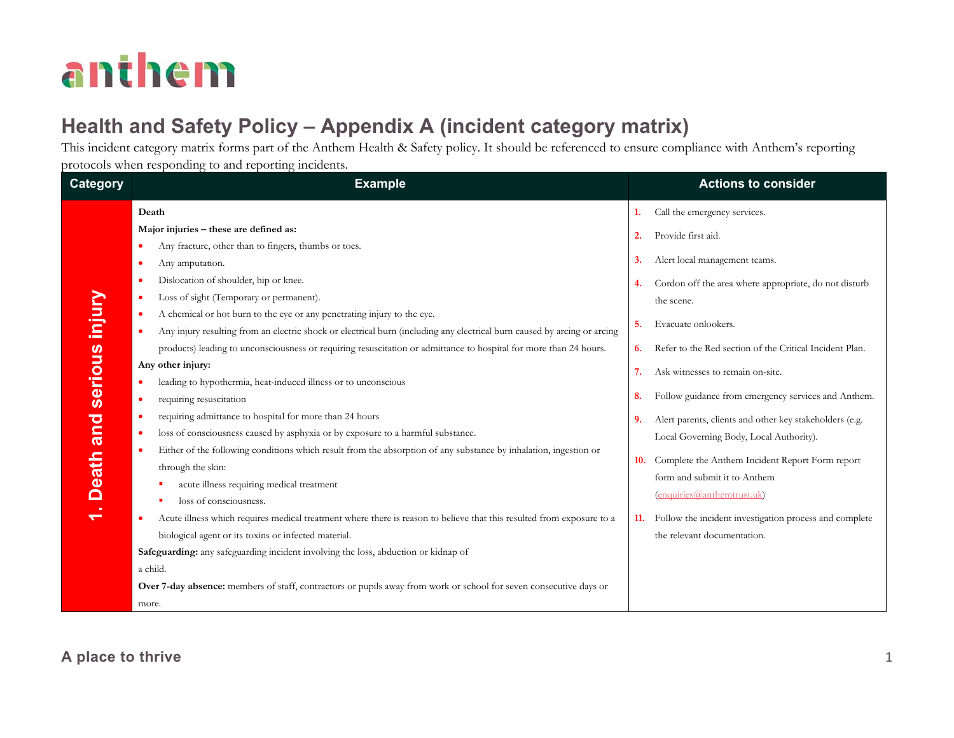### anthem

### **Health and Safety Policy – Appendix A (incident category matrix)**

This incident category matrix forms part of the Anthem Health & Safety policy. It should be referenced to ensure compliance with Anthem's reporting protocols when responding to and reporting incidents.

| <b>Category</b>          | <b>Example</b>                                                                                                                        | <b>Actions to consider</b>                                    |
|--------------------------|---------------------------------------------------------------------------------------------------------------------------------------|---------------------------------------------------------------|
| Death and serious injury | Death                                                                                                                                 | Call the emergency services.<br>1.                            |
|                          | Major injuries – these are defined as:                                                                                                | Provide first aid.<br>2.                                      |
|                          | Any fracture, other than to fingers, thumbs or toes.<br>$\bullet$                                                                     |                                                               |
|                          | Any amputation.<br>$\bullet$                                                                                                          | Alert local management teams.<br>3.                           |
|                          | Dislocation of shoulder, hip or knee.<br>$\bullet$                                                                                    | Cordon off the area where appropriate, do not disturb<br>4.   |
|                          | Loss of sight (Temporary or permanent).<br>$\bullet$                                                                                  | the scene.                                                    |
|                          | A chemical or hot burn to the eye or any penetrating injury to the eye.<br>$\bullet$                                                  |                                                               |
|                          | Any injury resulting from an electric shock or electrical burn (including any electrical burn caused by arcing or arcing<br>$\bullet$ | Evacuate onlookers.<br>5.                                     |
|                          | products) leading to unconsciousness or requiring resuscitation or admittance to hospital for more than 24 hours.                     | Refer to the Red section of the Critical Incident Plan.<br>6. |
|                          | Any other injury:                                                                                                                     | Ask witnesses to remain on-site.                              |
|                          | leading to hypothermia, heat-induced illness or to unconscious                                                                        |                                                               |
|                          | requiring resuscitation<br>$\bullet$                                                                                                  | Follow guidance from emergency services and Anthem.<br>8.     |
|                          | requiring admittance to hospital for more than 24 hours<br>$\bullet$                                                                  | Alert parents, clients and other key stakeholders (e.g.<br>9. |
|                          | loss of consciousness caused by asphyxia or by exposure to a harmful substance.<br>$\bullet$                                          | Local Governing Body, Local Authority).                       |
|                          | Either of the following conditions which result from the absorption of any substance by inhalation, ingestion or<br>$\bullet$         | Complete the Anthem Incident Report Form report<br>10.        |
|                          | through the skin:                                                                                                                     | form and submit it to Anthem                                  |
|                          | acute illness requiring medical treatment                                                                                             | $($ enquiries $($ $@$ anthemtrust.uk)                         |
|                          | loss of consciousness.                                                                                                                |                                                               |
| $\overline{\phantom{0}}$ | Acute illness which requires medical treatment where there is reason to believe that this resulted from exposure to a<br>$\bullet$    | Follow the incident investigation process and complete<br>11. |
|                          | biological agent or its toxins or infected material.                                                                                  | the relevant documentation.                                   |
|                          | Safeguarding: any safeguarding incident involving the loss, abduction or kidnap of                                                    |                                                               |
|                          | a child.                                                                                                                              |                                                               |
|                          | Over 7-day absence: members of staff, contractors or pupils away from work or school for seven consecutive days or                    |                                                               |
|                          | more.                                                                                                                                 |                                                               |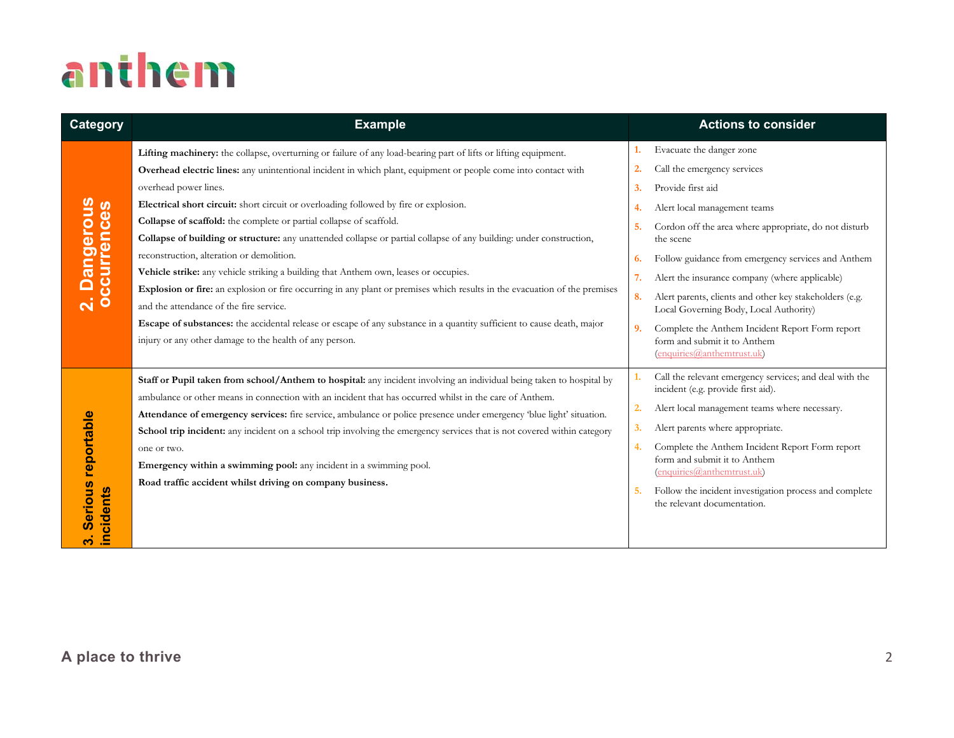# anthem

| <b>Category</b>                                | <b>Example</b>                                                                                                                                                                                                                                                                                                                                                                                                                                                                                                                                                                                                                                                                                                                                                                                                                                                                                                                                                                                                                                                     | <b>Actions to consider</b>                                                                                                                                                                                                                                                                                                                                                                                                                                                                                                                                 |
|------------------------------------------------|--------------------------------------------------------------------------------------------------------------------------------------------------------------------------------------------------------------------------------------------------------------------------------------------------------------------------------------------------------------------------------------------------------------------------------------------------------------------------------------------------------------------------------------------------------------------------------------------------------------------------------------------------------------------------------------------------------------------------------------------------------------------------------------------------------------------------------------------------------------------------------------------------------------------------------------------------------------------------------------------------------------------------------------------------------------------|------------------------------------------------------------------------------------------------------------------------------------------------------------------------------------------------------------------------------------------------------------------------------------------------------------------------------------------------------------------------------------------------------------------------------------------------------------------------------------------------------------------------------------------------------------|
| 2. Dangerous<br>occurrences                    | Lifting machinery: the collapse, overturning or failure of any load-bearing part of lifts or lifting equipment.<br>Overhead electric lines: any unintentional incident in which plant, equipment or people come into contact with<br>overhead power lines.<br>Electrical short circuit: short circuit or overloading followed by fire or explosion.<br><b>Collapse of scaffold:</b> the complete or partial collapse of scaffold.<br>Collapse of building or structure: any unattended collapse or partial collapse of any building: under construction,<br>reconstruction, alteration or demolition.<br>Vehicle strike: any vehicle striking a building that Anthem own, leases or occupies.<br>Explosion or fire: an explosion or fire occurring in any plant or premises which results in the evacuation of the premises<br>and the attendance of the fire service.<br><b>Escape of substances:</b> the accidental release or escape of any substance in a quantity sufficient to cause death, major<br>injury or any other damage to the health of any person. | Evacuate the danger zone<br>Call the emergency services<br>2.<br>Provide first aid<br>3.<br>Alert local management teams<br>Cordon off the area where appropriate, do not disturb<br>5.<br>the scene<br>Follow guidance from emergency services and Anthem<br>6.<br>Alert the insurance company (where applicable)<br>7.<br>Alert parents, clients and other key stakeholders (e.g.<br>8.<br>Local Governing Body, Local Authority)<br>Complete the Anthem Incident Report Form report<br>9.<br>form and submit it to Anthem<br>(enquiries@anthemtrust.uk) |
| reportable<br><b>Serious</b><br>incidents<br>က | Staff or Pupil taken from school/Anthem to hospital: any incident involving an individual being taken to hospital by<br>ambulance or other means in connection with an incident that has occurred whilst in the care of Anthem.<br>Attendance of emergency services: fire service, ambulance or police presence under emergency 'blue light' situation.<br>School trip incident: any incident on a school trip involving the emergency services that is not covered within category<br>one or two.<br>Emergency within a swimming pool: any incident in a swimming pool.<br>Road traffic accident whilst driving on company business.                                                                                                                                                                                                                                                                                                                                                                                                                              | Call the relevant emergency services; and deal with the<br>incident (e.g. provide first aid).<br>Alert local management teams where necessary.<br>2.<br>Alert parents where appropriate.<br>3.<br>Complete the Anthem Incident Report Form report<br>4.<br>form and submit it to Anthem<br>(enquiries@anthemtrust.uk)<br>Follow the incident investigation process and complete<br>5.<br>the relevant documentation.                                                                                                                                       |